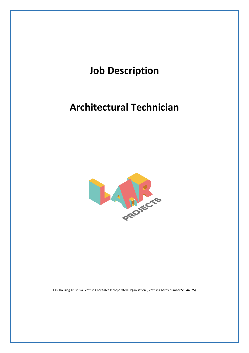

LAR Housing Trust is a Scottish Charitable Incorporated Organisation (Scottish Charity number SC044825)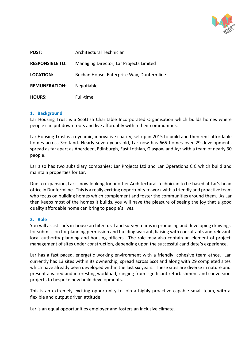

| POST:                  | Architectural Technician                  |
|------------------------|-------------------------------------------|
| <b>RESPONSIBLE TO:</b> | Managing Director, Lar Projects Limited   |
| <b>LOCATION:</b>       | Buchan House, Enterprise Way, Dunfermline |
| <b>REMUNERATION:</b>   | Negotiable                                |
| <b>HOURS:</b>          | Full-time                                 |

## **1. Background**

Lar Housing Trust is a Scottish Charitable Incorporated Organisation which builds homes where people can put down roots and live affordably within their communities.

Lar Housing Trust is a dynamic, innovative charity, set up in 2015 to build and then rent affordable homes across Scotland. Nearly seven years old, Lar now has 665 homes over 29 developments spread as far apart as Aberdeen, Edinburgh, East Lothian, Glasgow and Ayr with a team of nearly 30 people.

Lar also has two subsidiary companies: Lar Projects Ltd and Lar Operations CIC which build and maintain properties for Lar.

Due to expansion, Lar is now looking for another Architectural Technician to be based at Lar's head office in Dunfermline. This is a really exciting opportunity to work with a friendly and proactive team who focus on building homes which complement and foster the communities around them. As Lar then keeps most of the homes it builds, you will have the pleasure of seeing the joy that a good quality affordable home can bring to people's lives.

## **2. Role**

You will assist Lar's in-house architectural and survey teams in producing and developing drawings for submission for planning permission and building warrant, liaising with consultants and relevant local authority planning and housing officers. The role may also contain an element of project management of sites under construction, depending upon the successful candidate's experience.

Lar has a fast paced, energetic working environment with a friendly, cohesive team ethos. Lar currently has 13 sites within its ownership, spread across Scotland along with 29 completed sites which have already been developed within the last six years. These sites are diverse in nature and present a varied and interesting workload, ranging from significant refurbishment and conversion projects to bespoke new build developments.

This is an extremely exciting opportunity to join a highly proactive capable small team, with a flexible and output driven attitude.

Lar is an equal opportunities employer and fosters an inclusive climate.